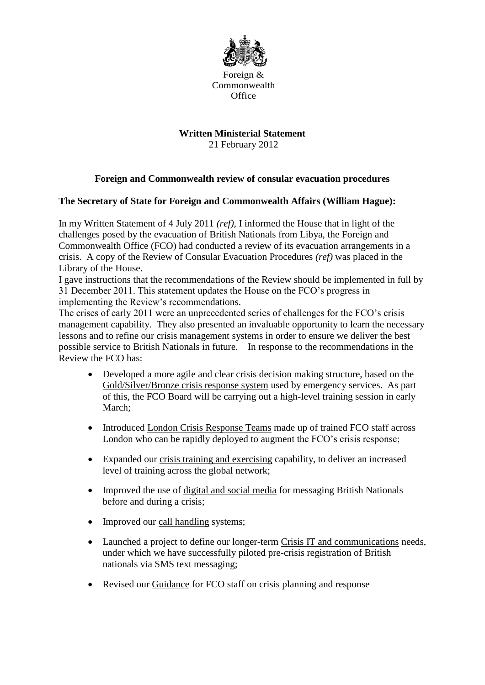

Foreign & Commonwealth **Office** 

## **Written Ministerial Statement**

21 February 2012

## **Foreign and Commonwealth review of consular evacuation procedures**

## **The Secretary of State for Foreign and Commonwealth Affairs (William Hague):**

In my Written Statement of 4 July 2011 *(ref),* I informed the House that in light of the challenges posed by the evacuation of British Nationals from Libya, the Foreign and Commonwealth Office (FCO) had conducted a review of its evacuation arrangements in a crisis. A copy of the Review of Consular Evacuation Procedures *(ref)* was placed in the Library of the House.

I gave instructions that the recommendations of the Review should be implemented in full by 31 December 2011. This statement updates the House on the FCO's progress in implementing the Review's recommendations.

The crises of early 2011 were an unprecedented series of challenges for the FCO's crisis management capability. They also presented an invaluable opportunity to learn the necessary lessons and to refine our crisis management systems in order to ensure we deliver the best possible service to British Nationals in future. In response to the recommendations in the Review the FCO has:

- Developed a more agile and clear crisis decision making structure, based on the Gold/Silver/Bronze crisis response system used by emergency services. As part of this, the FCO Board will be carrying out a high-level training session in early March;
- Introduced London Crisis Response Teams made up of trained FCO staff across London who can be rapidly deployed to augment the FCO's crisis response;
- Expanded our crisis training and exercising capability, to deliver an increased level of training across the global network;
- Improved the use of digital and social media for messaging British Nationals before and during a crisis;
- Improved our call handling systems;
- Launched a project to define our longer-term Crisis IT and communications needs, under which we have successfully piloted pre-crisis registration of British nationals via SMS text messaging;
- Revised our Guidance for FCO staff on crisis planning and response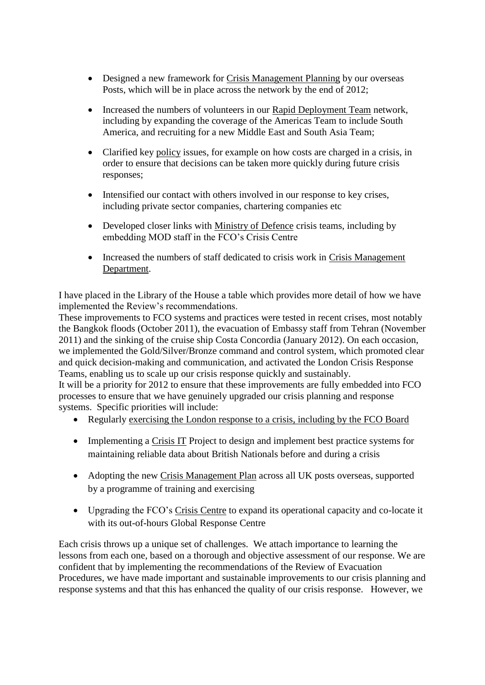- Designed a new framework for Crisis Management Planning by our overseas Posts, which will be in place across the network by the end of 2012;
- Increased the numbers of volunteers in our Rapid Deployment Team network, including by expanding the coverage of the Americas Team to include South America, and recruiting for a new Middle East and South Asia Team;
- Clarified key policy issues, for example on how costs are charged in a crisis, in order to ensure that decisions can be taken more quickly during future crisis responses;
- Intensified our contact with others involved in our response to key crises, including private sector companies, chartering companies etc
- Developed closer links with Ministry of Defence crisis teams, including by embedding MOD staff in the FCO's Crisis Centre
- Increased the numbers of staff dedicated to crisis work in Crisis Management Department.

I have placed in the Library of the House a table which provides more detail of how we have implemented the Review's recommendations.

These improvements to FCO systems and practices were tested in recent crises, most notably the Bangkok floods (October 2011), the evacuation of Embassy staff from Tehran (November 2011) and the sinking of the cruise ship Costa Concordia (January 2012). On each occasion, we implemented the Gold/Silver/Bronze command and control system, which promoted clear and quick decision-making and communication, and activated the London Crisis Response Teams, enabling us to scale up our crisis response quickly and sustainably.

It will be a priority for 2012 to ensure that these improvements are fully embedded into FCO processes to ensure that we have genuinely upgraded our crisis planning and response systems. Specific priorities will include:

- Regularly exercising the London response to a crisis, including by the FCO Board
- Implementing a Crisis IT Project to design and implement best practice systems for maintaining reliable data about British Nationals before and during a crisis
- Adopting the new Crisis Management Plan across all UK posts overseas, supported by a programme of training and exercising
- Upgrading the FCO's Crisis Centre to expand its operational capacity and co-locate it with its out-of-hours Global Response Centre

Each crisis throws up a unique set of challenges. We attach importance to learning the lessons from each one, based on a thorough and objective assessment of our response. We are confident that by implementing the recommendations of the Review of Evacuation Procedures, we have made important and sustainable improvements to our crisis planning and response systems and that this has enhanced the quality of our crisis response. However, we